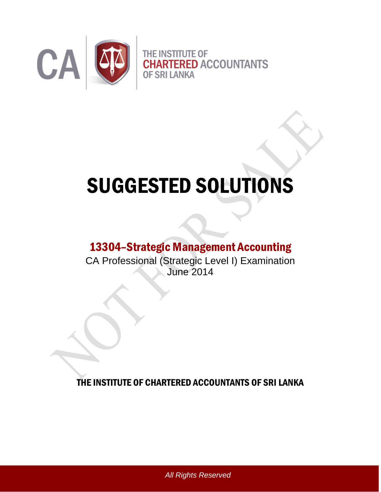

# SUGGESTED SOLUTIONS

# 13304–Strategic Management Accounting

CA Professional (Strategic Level I) Examination June 2014

THE INSTITUTE OF CHARTERED ACCOUNTANTS OF SRI LANKA

*All Rights Reserved*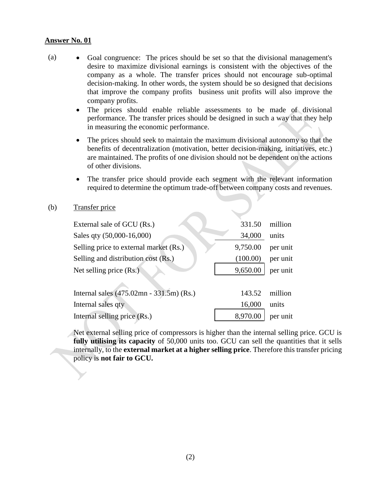- (a) Goal congruence: The prices should be set so that the divisional management's desire to maximize divisional earnings is consistent with the objectives of the company as a whole. The transfer prices should not encourage sub-optimal decision-making. In other words, the system should be so designed that decisions that improve the company profits business unit profits will also improve the company profits.
	- The prices should enable reliable assessments to be made of divisional performance. The transfer prices should be designed in such a way that they help in measuring the economic performance.
	- The prices should seek to maintain the maximum divisional autonomy so that the benefits of decentralization (motivation, better decision-making, initiatives, etc.) are maintained. The profits of one division should not be dependent on the actions of other divisions.
	- The transfer price should provide each segment with the relevant information required to determine the optimum trade-off between company costs and revenues.

#### (b) Transfer price

| External sale of GCU (Rs.)               | 331.50   | million  |
|------------------------------------------|----------|----------|
| Sales qty (50,000-16,000)                | 34,000   | units    |
| Selling price to external market (Rs.)   | 9,750.00 | per unit |
| Selling and distribution cost (Rs.)      | (100.00) | per unit |
| Net selling price $(Rs.)$                | 9,650.00 | per unit |
|                                          |          |          |
| Internal sales (475.02mn - 331.5m) (Rs.) | 143.52   | million  |
| Internal sales qty                       | 16,000   | units    |
| Internal selling price (Rs.)             | 8,970.00 | per unit |
|                                          |          |          |

Net external selling price of compressors is higher than the internal selling price. GCU is **fully utilising its capacity** of 50,000 units too. GCU can sell the quantities that it sells internally, to the **external market at a higher selling price**. Therefore this transfer pricing policy is **not fair to GCU.**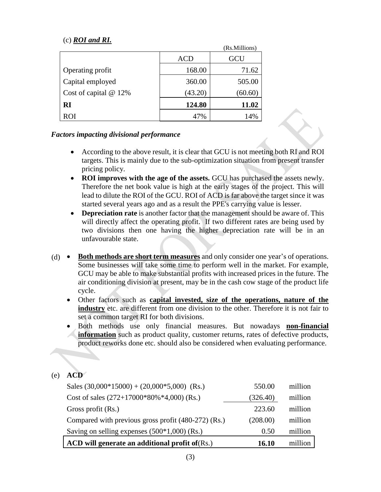# (c) *ROI and RI.*

|                         |         | (Rs.Millions) |
|-------------------------|---------|---------------|
|                         | ACD     | GCU           |
| Operating profit        | 168.00  | 71.62         |
| Capital employed        | 360.00  | 505.00        |
| Cost of capital $@12\%$ | (43.20) | (60.60)       |
| RI                      | 124.80  | 11.02         |
| <b>ROI</b>              | 47%     | 14%           |

# *Factors impacting divisional performance*

- According to the above result, it is clear that GCU is not meeting both RI and ROI targets. This is mainly due to the sub-optimization situation from present transfer pricing policy.
- **ROI improves with the age of the assets.** GCU has purchased the assets newly. Therefore the net book value is high at the early stages of the project. This will lead to dilute the ROI of the GCU. ROI of ACD is far above the target since it was started several years ago and as a result the PPE's carrying value is lesser.
- **Depreciation rate** is another factor that the management should be aware of. This will directly affect the operating profit. If two different rates are being used by two divisions then one having the higher depreciation rate will be in an unfavourable state.
- (d) **Both methods are short term measures** and only consider one year's of operations. Some businesses will take some time to perform well in the market. For example, GCU may be able to make substantial profits with increased prices in the future. The air conditioning division at present, may be in the cash cow stage of the product life cycle.
	- Other factors such as **capital invested, size of the operations, nature of the industry** etc. are different from one division to the other. Therefore it is not fair to set a common target RI for both divisions.
	- Both methods use only financial measures. But nowadays **non-financial information** such as product quality, customer returns, rates of defective products, product reworks done etc. should also be considered when evaluating performance.

# (e) **ACD**

| ACD will generate an additional profit of (Rs.)     | <b>16.10</b> | million |
|-----------------------------------------------------|--------------|---------|
| Saving on selling expenses $(500*1,000)$ (Rs.)      | 0.50         | million |
| Compared with previous gross profit (480-272) (Rs.) | (208.00)     | million |
| Gross profit (Rs.)                                  | 223.60       | million |
| Cost of sales $(272+17000*80\%*4,000)$ (Rs.)        | (326.40)     | million |
| Sales $(30,000*15000) + (20,000*5,000)$ (Rs.)       | 550.00       | million |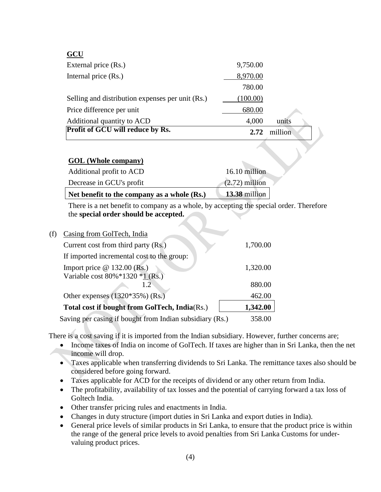# **GCU**

| External price (Rs.)                             | 9,750.00 |         |  |
|--------------------------------------------------|----------|---------|--|
| Internal price (Rs.)                             | 8,970.00 |         |  |
|                                                  | 780.00   |         |  |
| Selling and distribution expenses per unit (Rs.) | (100.00) |         |  |
| Price difference per unit                        | 680.00   |         |  |
| Additional quantity to ACD                       | 4,000    | units   |  |
| Profit of GCU will reduce by Rs.                 | 2.72     | million |  |

# **GOL (Whole company)**

| Net benefit to the company as a whole (Rs.) | $13.38$ million  |
|---------------------------------------------|------------------|
| Decrease in GCU's profit                    | $(2.72)$ million |
| Additional profit to ACD                    | 16.10 million    |

There is a net benefit to company as a whole, by accepting the special order. Therefore the **special order should be accepted.**

| (f) | Casing from GolTech, India                               |          |
|-----|----------------------------------------------------------|----------|
|     | Current cost from third party (Rs.)                      | 1,700.00 |
|     | If imported incremental cost to the group:               |          |
|     | Import price $@$ 132.00 (Rs.)                            | 1,320.00 |
|     | Variable cost $80\% * 1320 * 1$ (Rs.)                    |          |
|     | 1.2.                                                     | 880.00   |
|     | Other expenses $(1320*35%)$ (Rs.)                        | 462.00   |
|     | Total cost if bought from GolTech, India(Rs.)            | 1,342.00 |
|     | Saving per casing if bought from Indian subsidiary (Rs.) | 358.00   |

There is a cost saving if it is imported from the Indian subsidiary. However, further concerns are;

- Income taxes of India on income of GolTech. If taxes are higher than in Sri Lanka, then the net income will drop.
- Taxes applicable when transferring dividends to Sri Lanka. The remittance taxes also should be considered before going forward.
- Taxes applicable for ACD for the receipts of dividend or any other return from India.
- The profitability, availability of tax losses and the potential of carrying forward a tax loss of Goltech India.
- Other transfer pricing rules and enactments in India.
- Changes in duty structure (import duties in Sri Lanka and export duties in India).
- General price levels of similar products in Sri Lanka, to ensure that the product price is within the range of the general price levels to avoid penalties from Sri Lanka Customs for undervaluing product prices.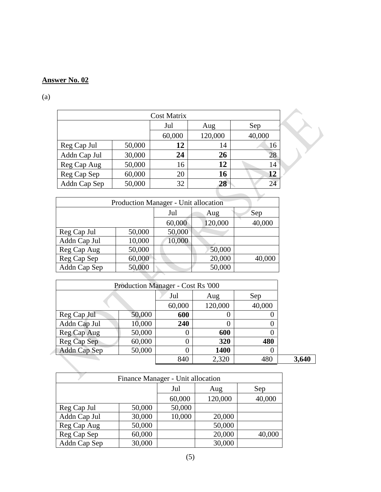(a)

| <b>Cost Matrix</b> |        |        |         |        |  |  |
|--------------------|--------|--------|---------|--------|--|--|
|                    |        | Jul    | Aug     | Sep    |  |  |
|                    |        | 60,000 | 120,000 | 40,000 |  |  |
| Reg Cap Jul        | 50,000 | 12     | 14      | 16     |  |  |
| Addn Cap Jul       | 30,000 | 24     | 26      | 28     |  |  |
| Reg Cap Aug        | 50,000 | 16     | 12      | 14     |  |  |
| Reg Cap Sep        | 60,000 | 20     | 16      | 12     |  |  |
| Addn Cap Sep       | 50,000 | 32     | 28      | 24     |  |  |

| Production Manager - Unit allocation |        |        |         |        |  |  |
|--------------------------------------|--------|--------|---------|--------|--|--|
|                                      |        | Jul    | Aug     | Sep    |  |  |
|                                      |        | 60,000 | 120,000 | 40,000 |  |  |
| Reg Cap Jul                          | 50,000 | 50,000 |         |        |  |  |
| Addn Cap Jul                         | 10,000 | 10,000 |         |        |  |  |
| Reg Cap Aug                          | 50,000 |        | 50,000  |        |  |  |
| Reg Cap Sep                          | 60,000 |        | 20,000  | 40,000 |  |  |
| Addn Cap Sep<br>50,000<br>50,000     |        |        |         |        |  |  |
|                                      |        |        |         |        |  |  |

|              |        | Production Manager - Cost Rs '000 |             |        |       |
|--------------|--------|-----------------------------------|-------------|--------|-------|
|              |        | Jul                               | Aug         | Sep    |       |
|              |        | 60,000                            | 120,000     | 40,000 |       |
| Reg Cap Jul  | 50,000 | 600                               |             |        |       |
| Addn Cap Jul | 10,000 | 240                               |             |        |       |
| Reg Cap Aug  | 50,000 |                                   | 600         |        |       |
| Reg Cap Sep  | 60,000 |                                   | 320         | 480    |       |
| Addn Cap Sep | 50,000 |                                   | <b>1400</b> |        |       |
|              |        | 840                               | 2,320       | 480    | 3,640 |
|              |        |                                   |             |        |       |

| Finance Manager - Unit allocation |        |        |         |        |  |  |
|-----------------------------------|--------|--------|---------|--------|--|--|
|                                   |        | Jul    | Aug     | Sep    |  |  |
|                                   |        | 60,000 | 120,000 | 40,000 |  |  |
| Reg Cap Jul                       | 50,000 | 50,000 |         |        |  |  |
| Addn Cap Jul                      | 30,000 | 10,000 | 20,000  |        |  |  |
| Reg Cap Aug                       | 50,000 |        | 50,000  |        |  |  |
| Reg Cap Sep                       | 60,000 |        | 20,000  | 40,000 |  |  |
| Addn Cap Sep                      | 30,000 |        | 30,000  |        |  |  |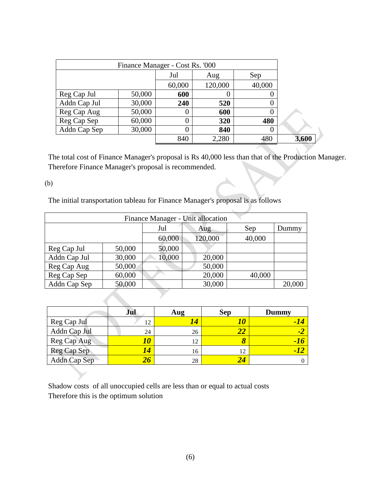| Finance Manager - Cost Rs. '000 |        |        |         |                  |       |
|---------------------------------|--------|--------|---------|------------------|-------|
|                                 |        | Jul    | Aug     | Sep              |       |
|                                 |        | 60,000 | 120,000 | 40,000           |       |
| Reg Cap Jul                     | 50,000 | 600    | 0       | U                |       |
| Addn Cap Jul                    | 30,000 | 240    | 520     | O                |       |
| Reg Cap Aug                     | 50,000 |        | 600     |                  |       |
| Reg Cap Sep                     | 60,000 |        | 320     | 480              |       |
| Addn Cap Sep                    | 30,000 |        | 840     | $\left( \right)$ |       |
|                                 |        | 840    | 2,280   | 480              | 3,600 |

The total cost of Finance Manager's proposal is Rs 40,000 less than that of the Production Manager. Therefore Finance Manager's proposal is recommended.

#### (b)

The initial transportation tableau for Finance Manager's proposal is as follows

| Finance Manager - Unit allocation |        |        |         |        |        |  |
|-----------------------------------|--------|--------|---------|--------|--------|--|
|                                   |        | Jul    | Aug     | Sep    | Dummy  |  |
|                                   |        | 60,000 | 120,000 | 40,000 |        |  |
| Reg Cap Jul                       | 50,000 | 50,000 |         |        |        |  |
| Addn Cap Jul                      | 30,000 | 10,000 | 20,000  |        |        |  |
| Reg Cap Aug                       | 50,000 |        | 50,000  |        |        |  |
| Reg Cap Sep                       | 60,000 |        | 20,000  | 40,000 |        |  |
| Addn Cap Sep                      | 50,000 |        | 30,000  |        | 20,000 |  |

|              | Jul | Aug | <b>Sep</b> | <b>Dummy</b> |
|--------------|-----|-----|------------|--------------|
| Reg Cap Jul  | 12  | 14  | 10         | -14          |
| Addn Cap Jul | 24  | 26  | 22         | -2           |
| Reg Cap Aug  |     | 12  | 8          | $-16$        |
| Reg Cap Sep  | 14  | 16  | 12         | <b>AV</b>    |
| Addn Cap Sep |     | 28  |            |              |

Shadow costs of all unoccupied cells are less than or equal to actual costs Therefore this is the optimum solution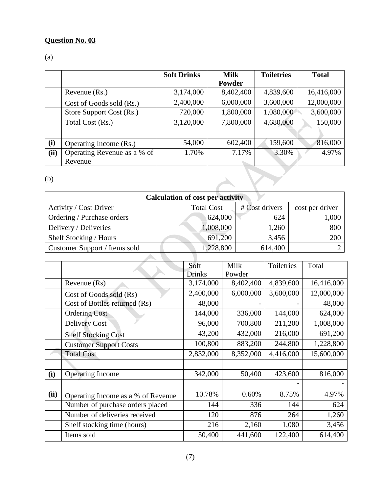# **Question No. 03**

# (a)

|      |                             | <b>Soft Drinks</b> | <b>Milk</b> | <b>Toiletries</b> | <b>Total</b> |
|------|-----------------------------|--------------------|-------------|-------------------|--------------|
|      |                             |                    | Powder      |                   |              |
|      | Revenue (Rs.)               | 3,174,000          | 8,402,400   | 4,839,600         | 16,416,000   |
|      | Cost of Goods sold (Rs.)    | 2,400,000          | 6,000,000   | 3,600,000         | 12,000,000   |
|      | Store Support Cost (Rs.)    | 720,000            | 1,800,000   | 1,080,000         | 3,600,000    |
|      | Total Cost (Rs.)            | 3,120,000          | 7,800,000   | 4,680,000         | 150,000      |
|      |                             |                    |             |                   |              |
| (i)  | Operating Income (Rs.)      | 54,000             | 602,400     | 159,600           | 816,000      |
| (ii) | Operating Revenue as a % of | 1.70%              | 7.17%       | 3.30%             | 4.97%        |
|      | Revenue                     |                    |             |                   |              |
| (b)  |                             |                    |             |                   |              |

(b)

| <b>Calculation of cost per activity</b> |                   |                |                 |  |  |  |  |
|-----------------------------------------|-------------------|----------------|-----------------|--|--|--|--|
| Activity / Cost Driver                  | <b>Total Cost</b> | # Cost drivers | cost per driver |  |  |  |  |
| Ordering / Purchase orders              | 624,000           | 624            | 1,000           |  |  |  |  |
| Delivery / Deliveries                   | 1,008,000         | 1,260          | 800             |  |  |  |  |
| Shelf Stocking / Hours                  | 691,200           | 3,456          | 200             |  |  |  |  |
| Customer Support / Items sold           | ,228,800          | 614,400        |                 |  |  |  |  |
|                                         |                   |                |                 |  |  |  |  |

|      |                                    | Soft          | Milk      | Toiletries | Total      |
|------|------------------------------------|---------------|-----------|------------|------------|
|      |                                    | <b>Drinks</b> | Powder    |            |            |
|      | Revenue (Rs)                       | 3,174,000     | 8,402,400 | 4,839,600  | 16,416,000 |
|      | Cost of Goods sold (Rs)            | 2,400,000     | 6,000,000 | 3,600,000  | 12,000,000 |
|      | Cost of Bottles returned (Rs)      | 48,000        |           |            | 48,000     |
|      | <b>Ordering Cost</b>               | 144,000       | 336,000   | 144,000    | 624,000    |
|      | <b>Delivery Cost</b>               | 96,000        | 700,800   | 211,200    | 1,008,000  |
|      | <b>Shelf Stocking Cost</b>         | 43,200        | 432,000   | 216,000    | 691,200    |
|      | <b>Customer Support Costs</b>      | 100,800       | 883,200   | 244,800    | 1,228,800  |
|      | <b>Total Cost</b>                  | 2,832,000     | 8,352,000 | 4,416,000  | 15,600,000 |
|      |                                    |               |           |            |            |
| (i)  | <b>Operating Income</b>            | 342,000       | 50,400    | 423,600    | 816,000    |
|      |                                    |               |           |            |            |
| (ii) | Operating Income as a % of Revenue | 10.78%        | 0.60%     | 8.75%      | 4.97%      |
|      | Number of purchase orders placed   | 144           | 336       | 144        | 624        |
|      | Number of deliveries received      | 120           | 876       | 264        | 1,260      |
|      | Shelf stocking time (hours)        | 216           | 2,160     | 1,080      | 3,456      |
|      | Items sold                         | 50,400        | 441,600   | 122,400    | 614,400    |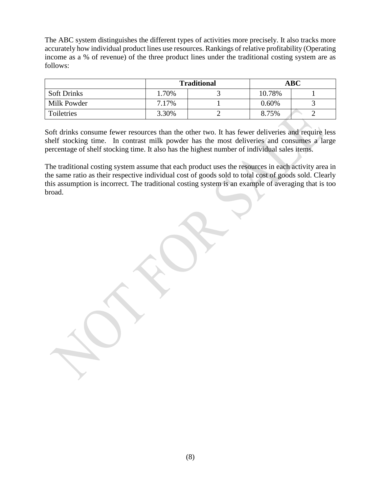The ABC system distinguishes the different types of activities more precisely. It also tracks more accurately how individual product lines use resources. Rankings of relative profitability (Operating income as a % of revenue) of the three product lines under the traditional costing system are as follows:

|                    |       | <b>Traditional</b> | <b>ABC</b> |  |  |
|--------------------|-------|--------------------|------------|--|--|
| <b>Soft Drinks</b> | 1.70% |                    | 10.78%     |  |  |
| Milk Powder        | 7.17% |                    | 0.60%      |  |  |
| Toiletries         | 3.30% |                    | 8.75%      |  |  |

Soft drinks consume fewer resources than the other two. It has fewer deliveries and require less shelf stocking time. In contrast milk powder has the most deliveries and consumes a large percentage of shelf stocking time. It also has the highest number of individual sales items.

The traditional costing system assume that each product uses the resources in each activity area in the same ratio as their respective individual cost of goods sold to total cost of goods sold. Clearly this assumption is incorrect. The traditional costing system is an example of averaging that is too broad.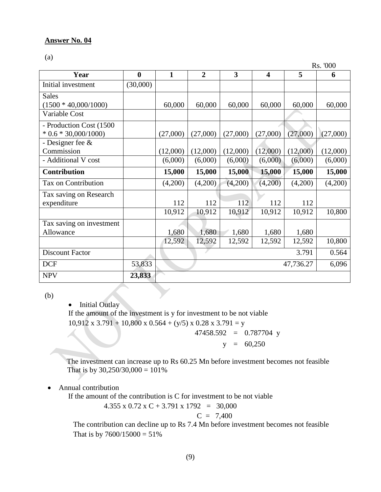(a)

Rs. '000

| Year                     | $\boldsymbol{0}$ | $\mathbf{1}$ | $\overline{2}$ | 3        | $\overline{\mathbf{4}}$ | 5        | 6        |
|--------------------------|------------------|--------------|----------------|----------|-------------------------|----------|----------|
| Initial investment       | (30,000)         |              |                |          |                         |          |          |
| <b>Sales</b>             |                  |              |                |          |                         |          |          |
| $(1500 * 40,000/1000)$   |                  | 60,000       | 60,000         | 60,000   | 60,000                  | 60,000   | 60,000   |
| Variable Cost            |                  |              |                |          |                         |          |          |
| - Production Cost (1500  |                  |              |                |          |                         |          |          |
| $*$ 0.6 $*$ 30,000/1000) |                  | (27,000)     | (27,000)       | (27,000) | (27,000)                | (27,000) | (27,000) |
| - Designer fee $\&$      |                  |              |                |          |                         |          |          |
| Commission               |                  | (12,000)     | (12,000)       | (12,000) | (12,000)                | (12,000) | (12,000) |
| - Additional V cost      |                  | (6,000)      | (6,000)        | (6,000)  | (6,000)                 | (6,000)  | (6,000)  |
| Contribution             |                  | 15,000       | 15,000         | 15,000   | 15,000                  | 15,000   | 15,000   |
| Tax on Contribution      |                  | (4,200)      | (4,200)        | (4,200)  | (4,200)                 | (4,200)  | (4,200)  |
| Tax saving on Research   |                  |              |                |          |                         |          |          |
| expenditure              |                  | 112          | 112            | 112      | 112                     | 112      |          |
|                          |                  | 10,912       | 10,912         | 10,912   | 10,912                  | 10,912   | 10,800   |
| Tax saving on investment |                  |              |                |          |                         |          |          |
| Allowance                |                  | 1,680        | 1,680          | 1,680    | 1,680                   | 1,680    |          |
|                          |                  | 12,592       | 12,592         | 12,592   | 12,592                  | 12,592   | 10,800   |
| <b>Discount Factor</b>   |                  |              |                |          |                         | 3.791    | 0.564    |
| <b>DCF</b>               | 53,833           | 47,736.27    |                |          |                         |          | 6,096    |
| <b>NPV</b>               | 23,833           |              |                |          |                         |          |          |

(b)

• Initial Outlay

If the amount of the investment is y for investment to be not viable  $10,912 \times 3.791 + 10,800 \times 0.564 + (y/5) \times 0.28 \times 3.791 = y$ 

47458.592 = 0.787704 y

 $y = 60,250$ 

The investment can increase up to Rs 60.25 Mn before investment becomes not feasible That is by  $30,250/30,000 = 101\%$ 

# Annual contribution

If the amount of the contribution is C for investment to be not viable

4.355 x 0.72 x C + 3.791 x 1792 = 30,000

$$
C = 7,400
$$

The contribution can decline up to Rs 7.4 Mn before investment becomes not feasible That is by  $7600/15000 = 51\%$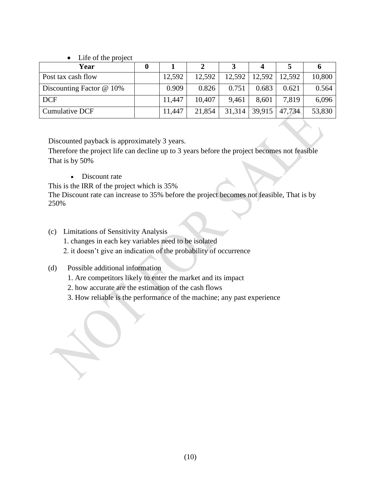# • Life of the project

| Year                       | 0 |        |        |        |                     |        |        |
|----------------------------|---|--------|--------|--------|---------------------|--------|--------|
| Post tax cash flow         |   | 12,592 | 12,592 |        | $12,592$   $12,592$ | 12,592 | 10,800 |
| Discounting Factor $@$ 10% |   | 0.909  | 0.826  | 0.751  | 0.683               | 0.621  | 0.564  |
| <b>DCF</b>                 |   | 11,447 | 10,407 | 9,461  | 8,601               | 7,819  | 6,096  |
| Cumulative DCF             |   | 11,447 | 21,854 | 31,314 | 39,915              | 47.734 | 53,830 |

Discounted payback is approximately 3 years.

Therefore the project life can decline up to 3 years before the project becomes not feasible That is by 50%

• Discount rate

This is the IRR of the project which is 35%

The Discount rate can increase to 35% before the project becomes not feasible, That is by 250%

(c) Limitations of Sensitivity Analysis 1. changes in each key variables need to be isolated 2. it doesn't give an indication of the probability of occurrence

# (d) Possible additional information

- 1. Are competitors likely to enter the market and its impact
- 2. how accurate are the estimation of the cash flows
- 3. How reliable is the performance of the machine; any past experience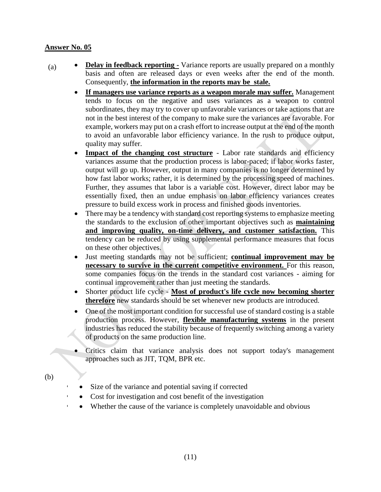- (a) **Delay in feedback reporting -** Variance reports are usually prepared on a monthly basis and often are released days or even weeks after the end of the month. Consequently, **the information in the reports may be stale.**
	- **If managers use variance reports as a weapon morale may suffer.** Management tends to focus on the negative and uses variances as a weapon to control subordinates, they may try to cover up unfavorable variances or take actions that are not in the best interest of the company to make sure the variances are favorable. For example, workers may put on a crash effort to increase output at the end of the month to avoid an unfavorable labor efficiency variance. In the rush to produce output, quality may suffer.
	- **Impact of the changing cost structure** Labor rate standards and efficiency variances assume that the production process is labor-paced; if labor works faster, output will go up. However, output in many companies is no longer determined by how fast labor works; rather, it is determined by the processing speed of machines. Further, they assumes that labor is a variable cost. However, direct labor may be essentially fixed, then an undue emphasis on labor efficiency variances creates pressure to build excess work in process and finished goods inventories.
	- There may be a tendency with standard cost reporting systems to emphasize meeting the standards to the exclusion of other important objectives such as **maintaining and improving quality, on-time delivery, and customer satisfaction.** This tendency can be reduced by using supplemental performance measures that focus on these other objectives.
	- Just meeting standards may not be sufficient; **continual improvement may be necessary to survive in the current competitive environment.** For this reason, some companies focus on the trends in the standard cost variances - aiming for continual improvement rather than just meeting the standards.
	- Shorter product life cycle **Most of product's life cycle now becoming shorter therefore** new standards should be set whenever new products are introduced.
	- One of the most important condition for successful use of standard costing is a stable production process. However, **flexible manufacturing systems** in the present industries has reduced the stability because of frequently switching among a variety of products on the same production line.
	- Critics claim that variance analysis does not support today's management approaches such as JIT, TQM, BPR etc.
- (b)
- Size of the variance and potential saving if corrected
- Cost for investigation and cost benefit of the investigation
- Whether the cause of the variance is completely unavoidable and obvious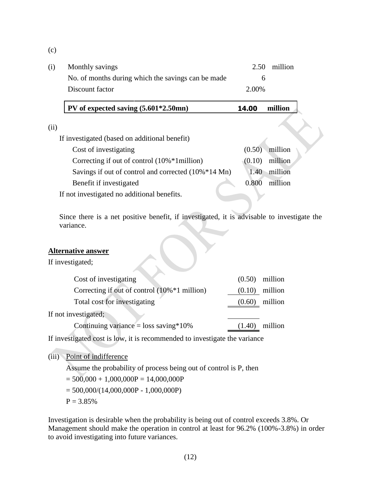(c)

| (i) | Monthly savings                                    |       | 2.50 million |
|-----|----------------------------------------------------|-------|--------------|
|     | No. of months during which the savings can be made |       |              |
|     | Discount factor                                    | 2.00% |              |

# **PV of expected saving (5.601\*2.50mn) 14.00 million**

| ٠ | ٠ |  |
|---|---|--|
|   |   |  |
|   |   |  |
|   |   |  |

| If investigated (based on additional benefit)           |        |                  |  |
|---------------------------------------------------------|--------|------------------|--|
| Cost of investigating                                   |        | $(0.50)$ million |  |
| Correcting if out of control $(10\% * 1\text{million})$ | (0.10) | million          |  |
| Savings if out of control and corrected (10%*14 Mn)     | 1.40   | million          |  |
| Benefit if investigated                                 | 0.800  | million          |  |
| If not investigated no additional benefits.             |        |                  |  |

Since there is a net positive benefit, if investigated, it is advisable to investigate the variance.

#### **Alternative answer**

If investigated;

| Cost of investigating                        |        | $(0.50)$ million |
|----------------------------------------------|--------|------------------|
| Correcting if out of control (10%*1 million) | (0.10) | million          |
| Total cost for investigating                 | (0.60) | million          |
| If not investigated;                         |        |                  |
| Continuing variance = loss saving * $10\%$   | (1.40) | million          |

If investigated cost is low, it is recommended to investigate the variance

# (iii) Point of indifference

Assume the probability of process being out of control is P, then

 $= 500,000 + 1,000,000P = 14,000,000P$ 

 $= 500,000/(14,000,000P - 1,000,000P)$ 

 $P = 3.85%$ 

Investigation is desirable when the probability is being out of control exceeds 3.8%. Or Management should make the operation in control at least for 96.2% (100%-3.8%) in order to avoid investigating into future variances.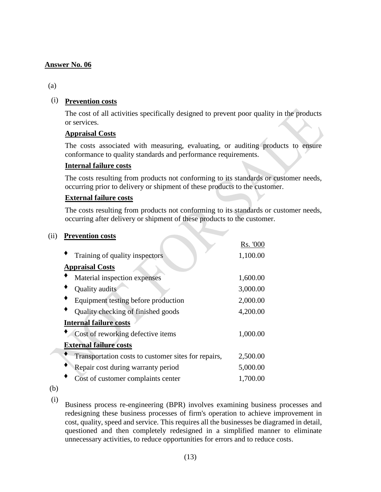# (a)

# (i) **Prevention costs**

The cost of all activities specifically designed to prevent poor quality in the products or services.

# **Appraisal Costs**

The costs associated with measuring, evaluating, or auditing products to ensure conformance to quality standards and performance requirements.

# **Internal failure costs**

The costs resulting from products not conforming to its standards or customer needs, occurring prior to delivery or shipment of these products to the customer.

# **External failure costs**

The costs resulting from products not conforming to its standards or customer needs, occurring after delivery or shipment of these products to the customer.

#### (ii) **Prevention costs**

|                                                     | Rs. '000 |
|-----------------------------------------------------|----------|
| Training of quality inspectors                      | 1,100.00 |
| <b>Appraisal Costs</b>                              |          |
| Material inspection expenses                        | 1,600.00 |
| Quality audits                                      | 3,000.00 |
| Equipment testing before production                 | 2,000.00 |
| Quality checking of finished goods                  | 4,200.00 |
| <b>Internal failure costs</b>                       |          |
| Cost of reworking defective items                   | 1,000.00 |
| <b>External failure costs</b>                       |          |
| Transportation costs to customer sites for repairs, | 2,500.00 |
| Repair cost during warranty period                  | 5,000.00 |
| Cost of customer complaints center                  | 1,700.00 |

(b) (i)

Business process re-engineering (BPR) involves examining business processes and redesigning these business processes of firm's operation to achieve improvement in cost, quality, speed and service. This requires all the businesses be diagramed in detail, questioned and then completely redesigned in a simplified manner to eliminate unnecessary activities, to reduce opportunities for errors and to reduce costs.